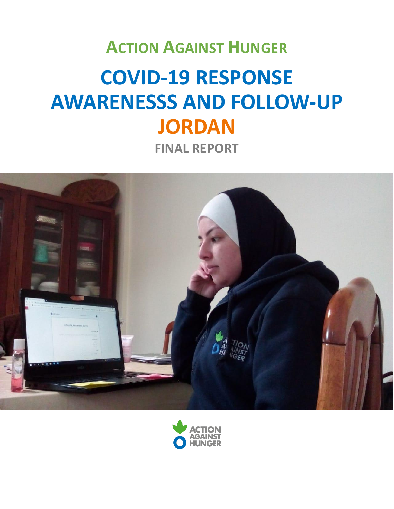# **ACTION AGAINST HUNGER COVID-19 RESPONSE AWARENESSS AND FOLLOW-UP JORDAN FINAL REPORT**



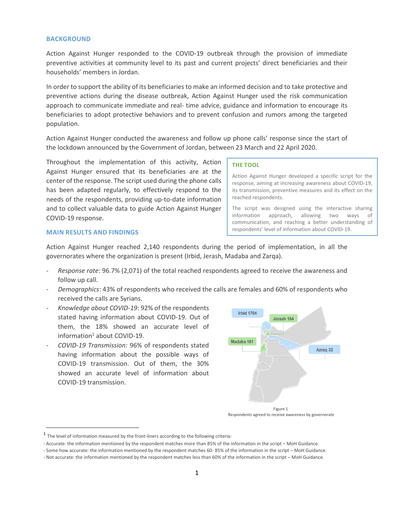#### **BACKGROUND**

Action Against Hunger responded to the COVID-19 outbreak through the provision of immediate preventive activities at community level to its past and current projects' direct beneficiaries and their households' members in Jordan.

In order to support the ability of its beneficiaries to make an informed decision and to take protective and preventive actions during the disease outbreak, Action Against Hunger used the risk communication approach to communicate immediate and real- time advice, guidance and information to encourage its beneficiaries to adopt protective behaviors and to prevent confusion and rumors among the targeted population.

Action Against Hunger conducted the awareness and follow up phone calls' response since the start of the lockdown announced by the Government of Jordan, between 23 March and 22 April 2020.

Throughout the implementation of this activity, Action Against Hunger ensured that its beneficiaries are at the center of the response. The script used during the phone calls has been adapted regularly, to effectively respond to the needs of the respondents, providing up-to-date information and to collect valuable data to guide Action Against Hunger COVID-19 response.

#### **THE TOOL**

Action Against Hunger developed a specific script for the response, aiming at increasing awareness about COVID-19, its transmission, preventive measures and its effect on the reached respondents.

The script was designed using the interactive sharing information approach, allowing two ways of communication, and reaching a better understanding of respondents' level of information about COVID-19.

#### **MAIN RESULTS AND FINDINGS**

l

Action Against Hunger reached 2,140 respondents during the period of implementation, in all the governorates where the organization is present (Irbid, Jerash, Madaba and Zarqa).

- *Response rate*: 96.7% (2,071) of the total reached respondents agreed to receive the awareness and follow up call.
- *Demographics*: 43% of respondents who received the calls are females and 60% of respondents who received the calls are Syrians.
- *Knowledge about COVID-19*: 92% of the respondents stated having information about COVID-19. Out of them, the 18% showed an accurate level of information<sup>1</sup> about COVID-19.
- *COVID-19 Transmission:* 96% of respondents stated having information about the possible ways of COVID-19 transmission. Out of them, the 30% showed an accurate level of information about COVID-19 transmission.



Respondents agreed to receive awareness by governorate

<sup>&</sup>lt;sup>1</sup> The level of information measured by the front-liners according to the following criteria:

<sup>-</sup> Accurate: the information mentioned by the respondent matches more than 85% of the information in the script – MoH Guidance.

<sup>-</sup> Some how accurate: the information mentioned by the respondent matches 60- 85% of the information in the script – MoH Guidance.

<sup>-</sup> Not accurate: the information mentioned by the respondent matches less than 60% of the information in the script – MoH Guidance.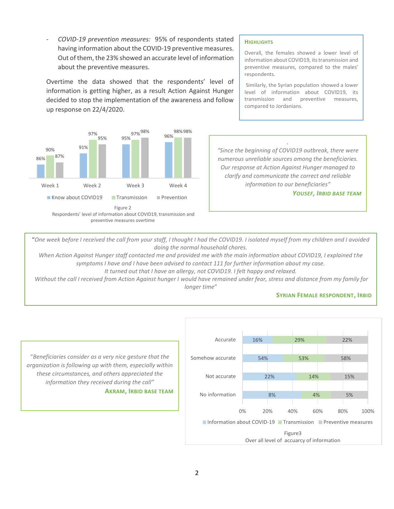- *COVID-19 prevention measures:* 95% of respondents stated having information about the COVID-19 preventive measures. Out of them, the 23% showed an accurate level of information about the preventive measures.

Overtime the data showed that the respondents' level of information is getting higher, as a result Action Against Hunger decided to stop the implementation of the awareness and follow up response on 22/4/2020.



#### **HIGHLIGHTS**

Overall, the females showed a lower level of information about COVID19, its transmission and preventive measures, compared to the males' respondents.

Similarly, the Syrian population showed a lower level of information about COVID19, its transmission and preventive measures, compared to Jordanians.

*"Since the beginning of COVID19 outbreak, there were numerous unreliable sources among the beneficiaries. Our response at Action Against Hunger managed to clarify and communicate the correct and reliable information to our beneficiaries"*

*.*

*YOUSEF, IRBID BASE TEAM*

"*One week before I received the call from your staff, I thought I had the COVID19. I isolated myself from my children and I avoided doing the normal household chores.* 

*When Action Against Hunger staff contacted me and provided me with the main information about COVID19, I explained the symptoms I have and I have been advised to contact 111 for further information about my case.*

*It turned out that I have an allergy, not COVID19. I felt happy and relaxed.*

*Without the call I received from Action Against hunger I would have remained under fear, stress and distance from my family for longer time*"

# **SYRIAN FEMALE RESPONDENT, IRBID**



"*Beneficiaries consider as a very nice gesture that the organization is following up with them, especially within these circumstances, and others appreciated the information they received during the call"*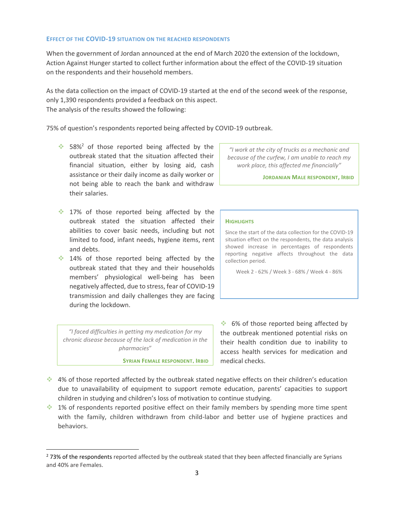### **EFFECT OF THE COVID-19 SITUATION ON THE REACHED RESPONDENTS**

When the government of Jordan announced at the end of March 2020 the extension of the lockdown, Action Against Hunger started to collect further information about the effect of the COVID-19 situation on the respondents and their household members.

As the data collection on the impact of COVID-19 started at the end of the second week of the response, only 1,390 respondents provided a feedback on this aspect. The analysis of the results showed the following:

75% of question's respondents reported being affected by COVID-19 outbreak.

- $\cdot$  58%<sup>2</sup> of those reported being affected by the outbreak stated that the situation affected their financial situation, either by losing aid, cash assistance or their daily income as daily worker or not being able to reach the bank and withdraw their salaries.
- $\cdot$  17% of those reported being affected by the outbreak stated the situation affected their abilities to cover basic needs, including but not limited to food, infant needs, hygiene items, rent and debts.
- 14% of those reported being affected by the outbreak stated that they and their households members' physiological well-being has been negatively affected, due to stress, fear of COVID-19 transmission and daily challenges they are facing during the lockdown.

*"I faced difficulties in getting my medication for my chronic disease because of the lack of medication in the pharmacies*"

 $\overline{\phantom{a}}$ 

**SYRIAN FEMALE RESPONDENT, IRBID**

*"I work at the city of trucks as a mechanic and because of the curfew, I am unable to reach my work place, this affected me financially"*

**JORDANIAN MALE RESPONDENT, IRBID**

#### **HIGHLIGHTS**

Since the start of the data collection for the COVID-19 situation effect on the respondents, the data analysis showed increase in percentages of respondents reporting negative affects throughout the data collection period.

Week 2 - 62% / Week 3 - 68% / Week 4 - 86%

6% of those reported being affected by the outbreak mentioned potential risks on their health condition due to inability to access health services for medication and medical checks.

- $\cdot$  4% of those reported affected by the outbreak stated negative effects on their children's education due to unavailability of equipment to support remote education, parents' capacities to support children in studying and children's loss of motivation to continue studying.
- 1% of respondents reported positive effect on their family members by spending more time spent with the family, children withdrawn from child-labor and better use of hygiene practices and behaviors.

<sup>&</sup>lt;sup>2</sup> 73% of the respondents reported affected by the outbreak stated that they been affected financially are Syrians and 40% are Females.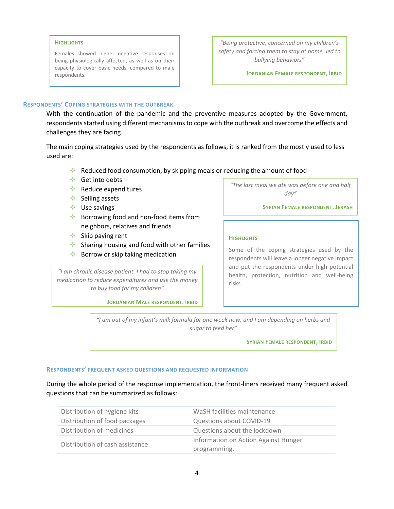#### **HIGHLIGHTS**

Females showed higher negative responses on being physiologically affected, as well as on their capacity to cover basic needs, compared to male respondents.

*"Being protective, concerned on my children's safety and forcing them to stay at home, led to bullying behaviors"*

**JORDANIAN FEMALE RESPONDENT, IRBID**

#### **RESPONDENTS' COPING STRATEGIES WITH THE OUTBREAK**

With the continuation of the pandemic and the preventive measures adopted by the Government, respondents started using different mechanisms to cope with the outbreak and overcome the effects and challenges they are facing.

The main coping strategies used by the respondents as follows, it is ranked from the mostly used to less used are:

- Reduced food consumption, by skipping meals or reducing the amount of food
- Get into debts
- Reduce expenditures
- $\div$  Selling assets
- Use savings
- **Borrowing food and non-food items from** neighbors, relatives and friends
- Skip paying rent
- $\bullet$  Sharing housing and food with other families
- **Borrow or skip taking medication**

*"I am chronic disease patient. I had to stop taking my medication to reduce expenditures and use the money to buy food for my children"*

**JORDANIAN MALE RESPONDENT, IRBID**

*"The last meal we ate was before one and half day"*

**SYRIAN FEMALE RESPONDENT, JERASH**

#### **HIGHLIGHTS**

Some of the coping strategies used by the respondents will leave a longer negative impact and put the respondents under high potential health, protection, nutrition and well-being risks.

*"I am out of my infant's milk formula for one week now, and I am depending on herbs and sugar to feed her"*

**SYRIAN FEMALE RESPONDENT, IRBID**

#### **RESPONDENTS' FREQUENT ASKED QUESTIONS AND REQUESTED INFORMATION**

During the whole period of the response implementation, the front-liners received many frequent asked questions that can be summarized as follows:

| Distribution of hygiene kits    | WaSH facilities maintenance          |
|---------------------------------|--------------------------------------|
| Distribution of food packages   | Questions about COVID-19             |
| Distribution of medicines       | Questions about the lockdown         |
| Distribution of cash assistance | Information on Action Against Hunger |
|                                 | programming.                         |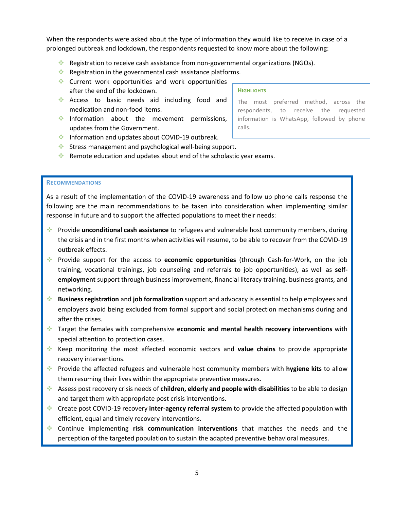When the respondents were asked about the type of information they would like to receive in case of a prolonged outbreak and lockdown, the respondents requested to know more about the following:

- Registration to receive cash assistance from non-governmental organizations (NGOs).
- Registration in the governmental cash assistance platforms.
- Current work opportunities and work opportunities after the end of the lockdown.
- Access to basic needs aid including food and medication and non-food items.
- Information about the movement permissions, updates from the Government.

#### **HIGHLIGHTS**

The most preferred method, across the respondents, to receive the requested information is WhatsApp, followed by phone calls.

- **Information and updates about COVID-19 outbreak.**
- Stress management and psychological well-being support.
- Remote education and updates about end of the scholastic year exams.

# **RECOMMENDATIONS**

As a result of the implementation of the COVID-19 awareness and follow up phone calls response the following are the main recommendations to be taken into consideration when implementing similar response in future and to support the affected populations to meet their needs:

- Provide **unconditional cash assistance** to refugees and vulnerable host community members, during the crisis and in the first months when activities will resume, to be able to recover from the COVID-19 outbreak effects.
- Provide support for the access to **economic opportunities** (through Cash-for-Work, on the job training, vocational trainings, job counseling and referrals to job opportunities), as well as **selfemployment** support through business improvement, financial literacy training, business grants, and networking.
- **Business registration** and **job formalization** support and advocacy is essential to help employees and employers avoid being excluded from formal support and social protection mechanisms during and after the crises.
- Target the females with comprehensive **economic and mental health recovery interventions** with special attention to protection cases.
- Keep monitoring the most affected economic sectors and **value chains** to provide appropriate recovery interventions.
- Provide the affected refugees and vulnerable host community members with **hygiene kits** to allow them resuming their lives within the appropriate preventive measures.
- Assess post recovery crisis needs of **children, elderly and people with disabilities**to be able to design and target them with appropriate post crisis interventions.
- Create post COVID-19 recovery **inter-agency referral system** to provide the affected population with efficient, equal and timely recovery interventions.
- Continue implementing **risk communication interventions** that matches the needs and the perception of the targeted population to sustain the adapted preventive behavioral measures.